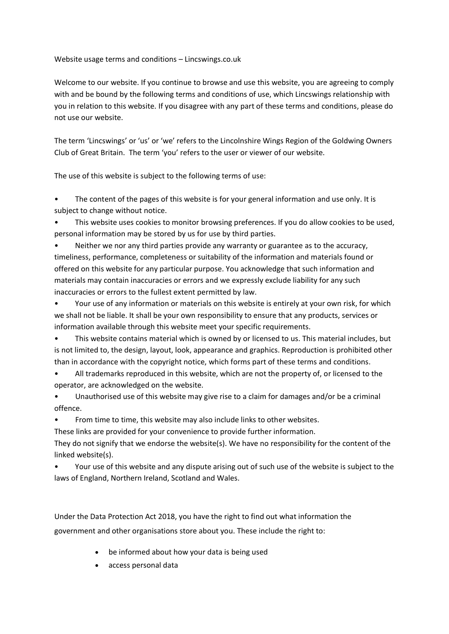Website usage terms and conditions – Lincswings.co.uk

Welcome to our website. If you continue to browse and use this website, you are agreeing to comply with and be bound by the following terms and conditions of use, which Lincswings relationship with you in relation to this website. If you disagree with any part of these terms and conditions, please do not use our website.

The term 'Lincswings' or 'us' or 'we' refers to the Lincolnshire Wings Region of the Goldwing Owners Club of Great Britain. The term 'you' refers to the user or viewer of our website.

The use of this website is subject to the following terms of use:

The content of the pages of this website is for your general information and use only. It is subject to change without notice.

• This website uses cookies to monitor browsing preferences. If you do allow cookies to be used, personal information may be stored by us for use by third parties.

• Neither we nor any third parties provide any warranty or guarantee as to the accuracy, timeliness, performance, completeness or suitability of the information and materials found or offered on this website for any particular purpose. You acknowledge that such information and materials may contain inaccuracies or errors and we expressly exclude liability for any such inaccuracies or errors to the fullest extent permitted by law.

• Your use of any information or materials on this website is entirely at your own risk, for which we shall not be liable. It shall be your own responsibility to ensure that any products, services or information available through this website meet your specific requirements.

• This website contains material which is owned by or licensed to us. This material includes, but is not limited to, the design, layout, look, appearance and graphics. Reproduction is prohibited other than in accordance with the copyright notice, which forms part of these terms and conditions.

• All trademarks reproduced in this website, which are not the property of, or licensed to the operator, are acknowledged on the website.

• Unauthorised use of this website may give rise to a claim for damages and/or be a criminal offence.

• From time to time, this website may also include links to other websites.

These links are provided for your convenience to provide further information.

They do not signify that we endorse the website(s). We have no responsibility for the content of the linked website(s).

• Your use of this website and any dispute arising out of such use of the website is subject to the laws of England, Northern Ireland, Scotland and Wales.

Under the Data Protection Act 2018, you have the right to find out what information the government and other organisations store about you. These include the right to:

- be informed about how your data is being used
- access personal data